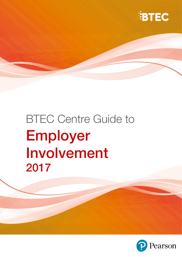

# BTEC Centre Guide to Employer Involvement 2017

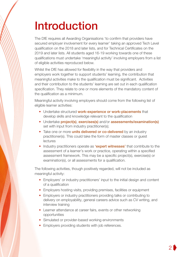# Introduction

The DfE requires all Awarding Organisations 'to confirm that providers have secured employer involvement for every learner' taking an approved Tech Level qualification on the 2018 and later lists, and for Technical Certificates on the 2019 and later lists. All students aged 16-19 working towards one of these qualifications must undertake 'meaningful activity' involving employers from a list of eligible activities reproduced below.

Whilst the DfE has allowed for flexibility in the way that providers and employers work together to support students' learning, the contribution that meaningful activities make to the qualification must be significant. Activities and their contribution to the students' learning are set out in each qualification specification. They relate to one or more elements of the mandatory content of the qualification as a minimum.

Meaningful activity involving employers should come from the following list of eligible learner activities:

- Undertake structured work-experience or work-placements that develop skills and knowledge relevant to the qualification
- Undertake **project(s)**, exercises(s) and/or **assessments/examination(s)** set with input from industry practitioner(s);
- Take one or more units delivered or co-delivered by an industry practitioner(s). This could take the form of master classes or guest lectures
- Industry practitioners operate as 'expert witnesses' that contribute to the assessment of a learner's work or practice, operating within a specified assessment framework. This may be a specific project(s), exercise(s) or examination(s), or all assessments for a qualification.

The following activities, though positively regarded, will not be included as meaningful activity:

- Employers' or industry practitioners' input to the initial design and content of a qualification
- Employers hosting visits, providing premises, facilities or equipment
- Employers or industry practitioners providing talks or contributing to delivery on employability, general careers advice such as CV writing, and interview training
- Learner attendance at career fairs, events or other networking opportunities
- Simulated or provider-based working environments
- Employers providing students with job references.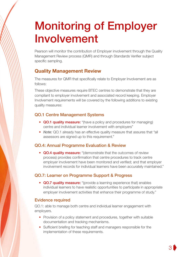# Monitoring of Employer Involvement

Pearson will monitor the contribution of Employer involvement through the Quality Management Review process (QMR) and through Standards Verifier subject specific sampling.

# Quality Management Review

The measures for QMR that specifically relate to Employer Involvement are as follows:

These objective measures require BTEC centres to demonstrate that they are compliant to employer involvement and associated record keeping. Employer Involvement requirements will be covered by the following additions to existing quality measures:

## QO.1 Centre Management Systems

- **QO.1 quality measure:** "(have a policy and procedures for managing) centre and individual learner involvement with employers"
- *Note:* QO.1 already has an effective quality measure that assures that "all assessors are signed up to this requirement."

### QO.4: Annual Programme Evaluation & Review

• QO.4 quality measure: "(demonstrate that the outcomes of review process) provides confirmation that centre procedures to track centre employer involvement have been monitored and verified; and that employer involvement records for individual learners have been accurately maintained."

## QO.7: Learner on Programme Support & Progress

• QO.7 quality measure: "(provide a learning experience that) enables individual learners to have realistic opportunities to participate in appropriate employer involvement activities that enhance their programme of study."

### Evidence required

QO.1: able to manage both centre and individual learner engagement with employers.

- Provision of a policy statement and procedures, together with suitable documentation and tracking mechanisms.
- Sufficient briefing for teaching staff and managers responsible for the implementation of these requirements.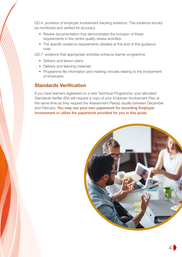QO.4: provision of employer involvement tracking evidence. This evidence should be monitored and verified for accuracy

- Review documentation that demonstrates the inclusion of these requirements in the centre quality review activities.
- The specific evidence requirements detailed at this end of this guidance note.

QO.7: evidence that appropriate activities enhance learner programme

- Delivery and lesson plans
- Delivery and learning materials
- Programme file information and meeting minutes relating to the involvement of employers

## Standards Verification

If you have learners registered on a new Technical Programme, your allocated Standards Verifier (SV) will request a copy of your Employer Involvement Plan at the same time as they request the Assessment Plan(s) usually between December and February. You may use your own paperwork for recording Employer Involvement or utilize the paperwork provided for you in this guide.

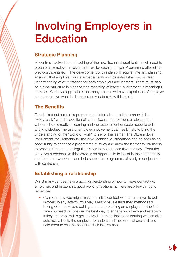# Involving Employers in **Education**

# Strategic Planning

All centres involved in the teaching of the new Technical qualifications will need to prepare an Employer Involvement plan for each Technical Programme offered (as previously identified). The development of this plan will require time and planning, ensuring that employer links are made, relationships established and a clear understanding of expectations for both employers and learners. There must also be a clear structure in place for the recording of learner involvement in meaningful activities. Whilst we appreciate that many centres will have experience of employer engagement we would still encourage you to review this guide.

# The Benefits

The desired outcome of a programme of study is to assist a learner to be "work ready" with the addition of sector-focused employer participation that will contribute directly to learning and / or assessment of sector specific skills and knowledge. The use of employer involvement can really help to bring the understanding of the "world of work" to life for the learner. The DfE employer involvement requirements for the new Technical qualifications can be seen as an opportunity to enhance a programme of study and allow the learner to link theory to practice through meaningful activities in their chosen field of study. From the employer's perspective this provides an opportunity to invest in their community and the future workforce and help shape the programme of study in conjunction with centre staff.

# Establishing a relationship

Whilst many centres have a good understanding of how to make contact with employers and establish a good working relationship, here are a few things to remember:

• Consider how you might make the initial contact with an employer to get involved in any activity. You may already have established methods for linking with employers but if you are approaching an employer for the first time you need to consider the best way to engage with them and establish if they are prepared to get involved. In many instances starting with smaller activities will help the employer to understand the expectations and also help them to see the benefit of their involvement.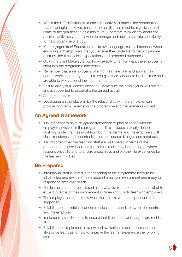- Within the DfE definition of "meaningful activity" it states "the contribution that meaningful activities make to the qualification must be significant and relate to the qualification as a minimum." Therefore think clearly about the possible activities you may want to arrange and how they relate specifically to the programme of study.
- Keep it jargon free! Education has its own language, so it is important when engaging with employers that you ensure they understand the programme of study, the timescales, expectations and proposed outcomes.
- Go with a plan! Make sure you know exactly what you want the employer to input into the programme and when.
- Remember that an employer is offering their time over and above their normal workload, so try to ensure you give them adequate lead in times and are able to work around their commitments.
- Ensure clarity in all communications. Make sure the employer is well briefed and is supported to undertake the agreed activity.
- Set agreed goals.
- Developing a solid platform for the relationship with the employer can provide long term benefits for the programme and the learners involved.

# An Agreed Framework

- It is important to have an agreed framework or plan of action with the employers involved in the programme. This includes a clearly defined working model that has input from both the centre and the employers with clear milestones and opportunities for continuous dialogue and feedback.
- It is important that the teaching staff are well briefed in terms of the proposed employer input so that there is a clear understanding of where responsibilities lie and to ensure a seamless and worthwhile experience for the learners involved.

## Be Prepared

- Internally all staff involved in the teaching of the programme need to be fully briefed and aware of the proposed employer involvement and ready to respond to employer needs.
- The learners need to be advised as to what is expected of them and what to expect in terms of their involvement in "meaningful activities" with employers.
- The employer needs to know what their role is, what to expect and to be supported.
- Establish and maintain clear communication channels between the centre and the employer.
- Implement key milestones to ensure that timeframes and targets are met by all.
- Establish and implement a review and evaluation process. Lessons can always be learnt as to how to improve the learner experience the following year.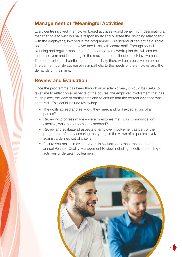## Management of "Meaningful Activities"

Every centre involved in employer based activities would benefit from designating a manager or lead who will have responsibility and oversee the on-going relationship with the employer(s) involved in the programme. This individual can act as a single point of contact for the employer and liaise with centre staff. Through sound planning and regular monitoring of the agreed framework/ plan this will ensure that employers and learners gain the maximum benefit out of their involvement. The better briefed all parties are the more likely there will be a positive outcome. The centre must always remain sympathetic to the needs of the employer and the demands on their time.

### Review and Evaluation

Once the programme has been through an academic year, it would be useful to take time to reflect on all aspects of the course, the employer involvement that has taken place, the view of participants and to ensure that the correct evidence was captured. This could include reviewing:

- The goals agreed and set did they meet and fulfil expectations of all parties?
- Reviewing progress made were milestones met, was communication effective, was the outcome as expected?
- Review and evaluate all aspects of employer involvement as part of the programme of study ensuring that you gain the views of all parties involved against a defined set of criteria.
- Ensure you maintain evidence of this evaluation to meet the needs of the annual Pearson Quality Management Review including effective recording of activities undertaken by learners.

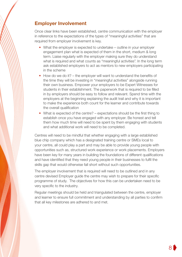## Employer Involvement

Once clear links have been established, centre communication with the employer in reference to the expectations of the types of "meaningful activities" that are required from employer involvement is key.

- What the employer is expected to undertake outline in your employer engagement plan what is expected of them in the short, medium & long term. Liaise regularly with the employer making sure they do understand what is required and what counts as "meaningful activities". In the long term ask established employers to act as mentors to new employers participating in the scheme
- How do we do it? the employer will want to understand the benefits of the time they will be investing in "meaningful activities" alongside running their own business. Empower your employers to be Expert Witnesses for students in their establishment. The paperwork that is required to be filled in by employers should be easy to follow and relevant. Spend time with the employers at the beginning explaining the audit trail and why it is important to make the experience both count for the learner and contribute towards the overall qualification
- What is expected of the centre? expectations should be the first thing to establish once you have engaged with any employer. Be honest and tell them how much time will need to be spent by them engaging with students and what additional work will need to be completed.

Centres will need to be mindful that whether engaging with a large established blue chip company which has a designated training centre or SMEs local to your centre, all could play a part and may be able to provide young people with opportunities such as, structured work experience or work placements. Employers have been key for many years in building the foundations of different qualifications and have identified that they need young people in their businesses to fulfil the skills gap that would otherwise fall short without such opportunities.

The employer involvement that is required will need to be outlined and in any centre devised Employer guide the centre may wish to prepare for their specific programme of study. The objectives for how this can be undertaken need to be very specific to the industry.

Regular meetings should be held and triangulated between the centre, employer and learner to ensure full commitment and understanding by all parties to confirm that all key milestones are adhered to and met.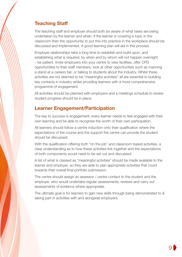# Teaching Staff

The teaching staff and employer should both be aware of what tasks are being undertaken by the learner and when. If the learner is covering a topic in the classroom then the opportunity to put this into practice in the workplace should be discussed and implemented. A good learning plan will aid in this process.

Employer relationships take a long time to establish and build upon, and establishing what is required, by when and by whom will not happen overnight – be patient. Invite employers into your centre to view facilities, offer CPD opportunities to their staff members, look at other opportunities such as manning a stand at a careers fair, or talking to students about the industry. Whilst these activities are not deemed to be "meaningful activities" all are essential to building key contacts in industry whilst providing learners with a more comprehensive programme of engagement.

All activities should be planned with employers and a meetings schedule to review student progress should be in place.

## Learner Engagement/Participation

The key to success is engagement; every learner needs to feel engaged with their own learning and be able to recognise the worth of their own participation.

All learners should follow a centre induction onto their qualification where the expectations of the course and the support the centre can provide the student should be discussed.

With the qualification offering both "on the job" and classroom based activities, a clear understanding as to how these activities link together and the expectations of both components would need to be set out and discussed.

A list of what is classed as "meaningful activities" should be made available to the learner and employer, so they are able to plan appropriate activities that count towards their overall final portfolio submission.

The centre should assign an assessor / centre contact to the student and the employer, who would undertake regular assessments, reviews and carry out assessments of evidence where appropriate.

The ultimate goal is for learners to gain new skills through being demonstrated to & taking part in activities with and alongside employers.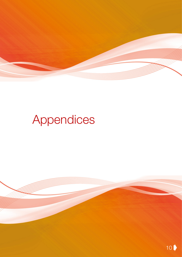

# Appendices



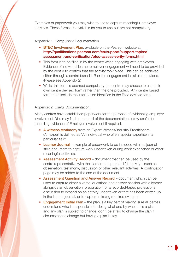Examples of paperwork you may wish to use to capture meaningful employer activities. These forms are available for you to use but are not compulsory.

#### Appendix 1: Compulsory Documentation

- BTEC Involvement Plan, available on the Pearson website at: http://qualifications.pearson.com/en/support/support-topics/ assessment-and-verification/btec-assess-verify-forms.html
- This form is to be filled in by the centre when engaging with employers. Evidence of individual learner employer engagement will need to be provided by the centre to confirm that the activity took place. This can be achieved either through a centre based ILR or the engagement initial plan provided. (Please see Appendix 2)
- Whilst this form is deemed compulsory the centre may choose to use their own centre devised form rather than the one provided. Any centre based form must include the information identified in the Btec devised form.

#### Appendix 2: Useful Documentation

Many centres have established paperwork for the purpose of evidencing employer involvement. You may find some or all of the documentation below useful for recording evidence of Employer Involvement if required.

- A witness testimony from an Expert Witness/Industry Practitioners. (An expert is defined as "An individual who offers special expertise in a particular field")
- Learner Journal example of paperwork to be included within a journal style document to capture work undertaken during work experience or other meaningful activities.
- Assessment Activity Record document that can be used by the centre representative with the learner to capture a 121 activity – such as observation, testimony, discussion or other relevant activities. A continuation page may be added to the end of the document.
- Assessment Question and Answer Record document which can be used to capture either a verbal questions and answer session with a learner alongside an observation, preparation for a recorded/taped professional discussion to expand on an activity undertaken or that has been written up in the learner journal, or to capture missing required evidence.
- **Engagement Initial Plan** the plan is a key part of making sure all parties understand who is responsible for doing what and by when. It is a plan and any plan is subject to change, don't be afraid to change the plan if circumstances change but having a plan is key.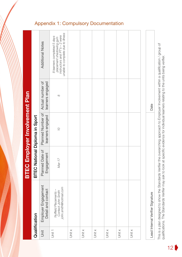|        |                                                                       |                               | <b>BTEC Employer Involvement Plan</b> |                                      |                                                                                                                              |  |
|--------|-----------------------------------------------------------------------|-------------------------------|---------------------------------------|--------------------------------------|------------------------------------------------------------------------------------------------------------------------------|--|
|        | Qualification                                                         | <b>BTEC</b>                   | National Diploma in Sport             |                                      |                                                                                                                              |  |
| Unit   | Employer Engagement<br>Detail and contact                             | Planned Date of<br>Engagement | Planned Number of<br>learners engaged | Actual number of<br>learners engaged | Additional Notes                                                                                                             |  |
| Unit 1 | john.smith@hotmail.com<br>Nuffield Placements -<br>Contact John Smith | $Mar-17$                      | $\overline{O}$                        | $\infty$                             | unable to complete due to illness<br>placement shadowing gym<br>instructors and PT's - 2 were<br>8 learners completed 5 days |  |
| Unit x |                                                                       |                               |                                       |                                      |                                                                                                                              |  |
| Unit x |                                                                       |                               |                                       |                                      |                                                                                                                              |  |
| Unit x |                                                                       |                               |                                       |                                      |                                                                                                                              |  |
| Unit x |                                                                       |                               |                                       |                                      |                                                                                                                              |  |
| Unit x |                                                                       |                               |                                       |                                      |                                                                                                                              |  |
| Unit x |                                                                       |                               |                                       |                                      |                                                                                                                              |  |
|        |                                                                       |                               |                                       |                                      |                                                                                                                              |  |
|        | Lead Internal Verifier Signature                                      |                               |                                       | Date                                 |                                                                                                                              |  |

# Appendix 1: Compulsory Documentation

This is a plan designed to show the Standards Verifier the overarching approach to Employer Involvement within a qualification / group of<br>qualifications. The Standards Verifier may ask to look at specific evidence for indi This is a plan designed to show the Standards Verifier the overarching approach to Employer Involvement within a qualification / group of qualifications. The Standards Verifier may ask to look at specific evidence for individual learners relating to the units being verifier.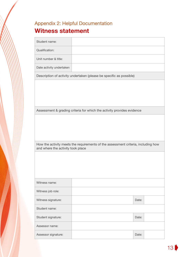# Appendix 2: Helpful Documentation Witness statement

| Student name:                     |                                                                                   |       |  |
|-----------------------------------|-----------------------------------------------------------------------------------|-------|--|
| Qualification:                    |                                                                                   |       |  |
| Unit number & title:              |                                                                                   |       |  |
| Date activity undertaken          |                                                                                   |       |  |
|                                   | Description of activity undertaken (please be specific as possible)               |       |  |
|                                   |                                                                                   |       |  |
|                                   |                                                                                   |       |  |
|                                   |                                                                                   |       |  |
|                                   | Assessment & grading criteria for which the activity provides evidence            |       |  |
|                                   |                                                                                   |       |  |
|                                   |                                                                                   |       |  |
|                                   |                                                                                   |       |  |
|                                   | How the activity meets the requirements of the assessment criteria, including how |       |  |
| and where the activity took place |                                                                                   |       |  |
|                                   |                                                                                   |       |  |
|                                   |                                                                                   |       |  |
|                                   |                                                                                   |       |  |
| Witness name:                     |                                                                                   |       |  |
| Witness job role:                 |                                                                                   |       |  |
| Witness signature:                |                                                                                   | Date: |  |
| Student name:                     |                                                                                   |       |  |
| Student signature:                |                                                                                   | Date: |  |
| Assessor name:                    |                                                                                   |       |  |
| Assessor signature:               |                                                                                   | Date: |  |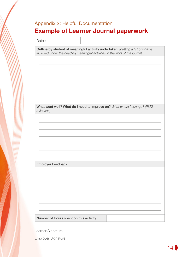# Appendix 2: Helpful Documentation Example of Learner Journal paperwork

Date:

Outline by student of meaningful activity undertaken: *(putting a list of what is included under the heading meaningful activities in the front of the journal)*

What went well? What do I need to improve on? *What would I change? (PLTS reflection)*

Employer Feedback:

Number of Hours spent on this activity:

Learner Signature

Employer Signature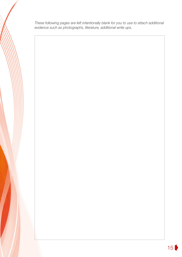*These following pages are left intentionally blank for you to use to attach additional evidence such as photographs, literature, additional write ups.*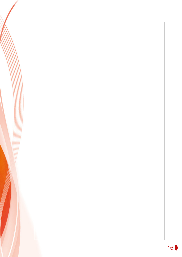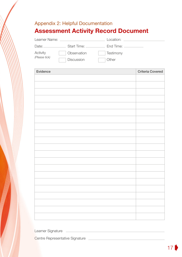# Appendix 2: Helpful Documentation Assessment Activity Record Document

| Learner Name:             |                   | Location: |
|---------------------------|-------------------|-----------|
| Date:                     | Start Time: _     | End Time: |
| Activity<br>(Please tick) | Observation       | Testimony |
|                           | <b>Discussion</b> | Other     |

| Evidence | <b>Criteria Covered</b> |
|----------|-------------------------|
|          |                         |
|          |                         |
|          |                         |
|          |                         |
|          |                         |
|          |                         |
|          |                         |
|          |                         |
|          |                         |
|          |                         |
|          |                         |
|          |                         |
|          |                         |
|          |                         |
|          |                         |
|          |                         |
|          |                         |
|          |                         |
|          |                         |
|          |                         |
|          |                         |
|          |                         |
|          |                         |
|          |                         |
|          |                         |
|          |                         |

Learner Signature **Learner Signature Learner Signature Learner** 

Centre Representative Signature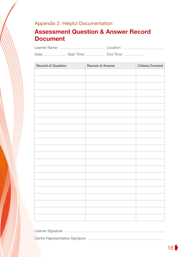# Appendix 2: Helpful Documentation

# Assessment Question & Answer Record **Document**

Learner Name: Location:

Date: Start Time: End Time:

| <b>Record of Question</b> | <b>Record of Answer</b> | <b>Criteria Covered</b> |
|---------------------------|-------------------------|-------------------------|
|                           |                         |                         |
|                           |                         |                         |
|                           |                         |                         |
|                           |                         |                         |
|                           |                         |                         |
|                           |                         |                         |
|                           |                         |                         |
|                           |                         |                         |
|                           |                         |                         |
|                           |                         |                         |
|                           |                         |                         |
|                           |                         |                         |
|                           |                         |                         |
|                           |                         |                         |
|                           |                         |                         |
|                           |                         |                         |
|                           |                         |                         |
|                           |                         |                         |
|                           |                         |                         |
|                           |                         |                         |
|                           |                         |                         |
|                           |                         |                         |

Learner Signature **Constitution** Constitution of the Constitution of the Constitution of the Constitution of the Constitution of the Constitution of the Constitution of the Constitution of the Constitution of the Constitut

Centre Representative Signature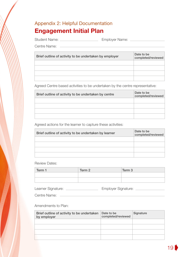# Appendix 2: Helpful Documentation Engagement Initial Plan

Student Name: Employer Name: Centre Name:

| Brief outline of activity to be undertaken by employer | Date to be<br>completed/reviewed |
|--------------------------------------------------------|----------------------------------|
|                                                        |                                  |
|                                                        |                                  |
|                                                        |                                  |
|                                                        |                                  |

Agreed Centre based activities to be undertaken by the centre representative:

| Brief outline of activity to be undertaken by centre | Date to be<br>completed/reviewed |
|------------------------------------------------------|----------------------------------|
|                                                      |                                  |
|                                                      |                                  |
|                                                      |                                  |
|                                                      |                                  |

Agreed actions for the learner to capture these activities:

| Brief outline of activity to be undertaken by learner | Date to be<br>completed/reviewed |
|-------------------------------------------------------|----------------------------------|
|                                                       |                                  |
|                                                       |                                  |
|                                                       |                                  |
|                                                       |                                  |

#### Review Dates:

| Term 1 | Term 2 | Term 3 |
|--------|--------|--------|
|        |        |        |
|        |        |        |

Learner Signature: \_\_\_\_\_\_\_\_\_\_\_\_\_\_\_\_\_\_\_\_\_\_\_\_\_\_ Employer Signature: \_\_\_\_\_\_\_\_\_\_\_\_\_\_

Centre Name: \_\_\_\_\_\_\_\_\_

Amendments to Plan:

| Brief outline of activity to be undertaken<br>by employer | Date to be<br>completed/reviewed | Signature |
|-----------------------------------------------------------|----------------------------------|-----------|
|                                                           |                                  |           |
|                                                           |                                  |           |
|                                                           |                                  |           |
|                                                           |                                  |           |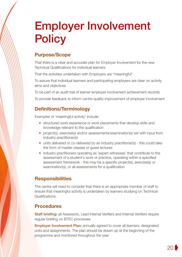# Employer Involvement **Policy**

## Purpose/Scope

That there is a clear and accurate plan for Employer Involvement for the new Technical Qualifications for individual learners

That the activities undertaken with Employers are "meaningful"

To assure that individual learners and participating employers are clear on activity aims and objectives

To be part of an audit trail of learner employer involvement achievement records

To provide feedback to inform centre quality improvement of employer involvement

# Definitions/Terminology

Examples of 'meaningful activity' include:

- structured work experience or work placements that develop skills and knowledge relevant to the qualification
- project(s), exercise(s) and/or assessments/examination(s) set with input from industry practitioner(s)
- units delivered or co-delivered by an industry practitioner(s) this could take the form of master classes or guest lectures
- industry practitioners operating as 'expert witnesses' that contribute to the assessment of a student's work or practice, operating within a specified assessment framework - this may be a specific project(s), exercise(s) or examination(s), or all assessments for a qualification

# **Responsibilities**

The centre will need to consider that there is an appropriate member of staff to ensure that meaningful activity is undertaken by learners studying on Technical Qualifications.

# **Procedures**

**Staff briefing:** all Assessors, Lead Internal Verifiers and Internal Verifiers require regular briefing on BTEC processes

**Employer Involvement Plan:** annually agreed to cover all learners, designated units and assignments. The plan should be drawn up at the beginning of the programme and monitored throughout the year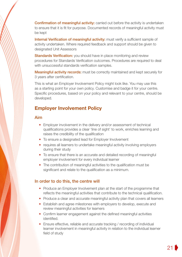**Confirmation of meaningful activity:** carried out before the activity is undertaken to ensure that it is fit for purpose. Documented records of meaningful activity must be kept

Internal Verification of meaningful activity: must verify a sufficient sample of activity undertaken. Where required feedback and support should be given to designated Unit Assessors

**Standards Verification:** you should have in place monitoring and review procedures for Standards Verification outcomes. Procedures are required to deal with unsuccessful standards verification samples.

Meaningful activity records: must be correctly maintained and kept securely for 3 years after certification.

This is what an Employer Involvement Policy might look like. You may use this as a starting point for your own policy. Customise and badge it for your centre. Specific procedures, based on your policy and relevant to your centre, should be developed.

# Employer Involvement Policy

#### Aim

- Employer involvement in the delivery and/or assessment of technical qualifications provides a clear 'line of sight' to work, enriches learning and raises the credibility of the qualification
- To ensure a designated lead for Employer Involvement
- requires all learners to undertake meaningful activity involving employers during their study
- To ensure that there is an accurate and detailed recording of meaningful employer involvement for every individual learner
- The contribution of meaningful activities to the qualification must be significant and relate to the qualification as a minimum.

#### In order to do this, the centre will

- Produce an Employer Involvement plan at the start of the programme that reflects the meaningful activities that contribute to the technical qualification.
- Produce a clear and accurate meaningful activity plan that covers all learners
- Establish and agree milestones with employers to develop, execute and review meaningful activities for learners
- Confirm learner engagement against the defined meaningful activities identified.
- Ensure effective, reliable and accurate tracking / recording of individual learner involvement in meaningful activity in relation to the individual learner field of study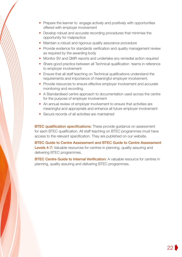- Prepare the learner to engage actively and positively with opportunities offered with employer involvement
- Develop robust and accurate recording procedures that minimise the opportunity for malpractice
- Maintain a robust and rigorous quality assurance procedure
- Provide evidence for standards verification and quality management review as required by the awarding body
- Monitor SV and QMR reports and undertake any remedial action required
- Share good practice between all Technical qualification teams in reference to employer involvement
- Ensure that all staff teaching on Technical qualifications understand the requirements and importance of meaningful employer involvement.
- Provide resources to ensure effective employer involvement and accurate monitoring and recording.
- A Standardised centre approach to documentation used across the centre for the purpose of employer involvement
- An annual review of employer involvement to ensure that activities are meaningful and appropriate and enhance all future employer involvement
- Secure records of all activities are maintained

**BTEC qualification specifications:** These provide quidance on assessment for each BTEC qualification. All staff teaching on BTEC programmes must have access to the relevant specification. They are published on our website.

BTEC Guide to Centre Assessment and BTEC Guide to Centre Assessment Levels 4-7: Valuable resources for centres in planning, quality assuring and delivering BTEC programmes.

**BTEC Centre Guide to Internal Verification:** A valuable resource for centres in planning, quality assuring and delivering BTEC programmes.